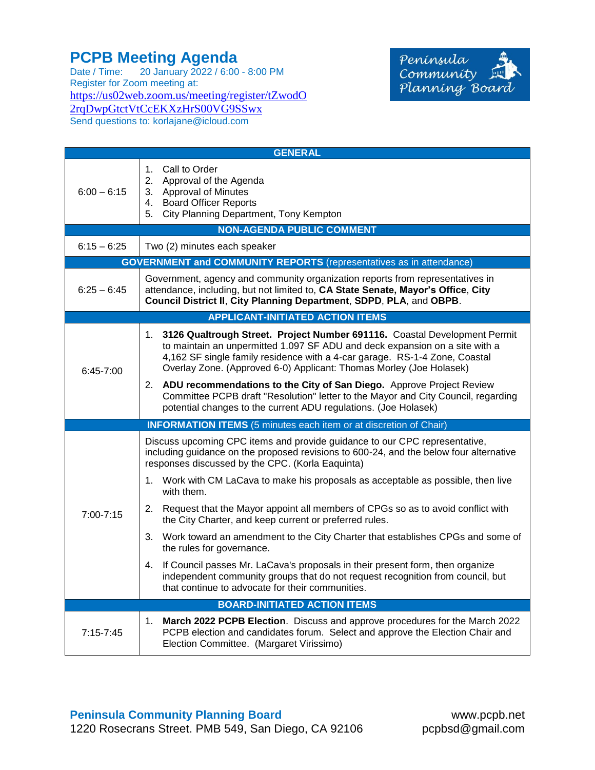## **PCPB Meeting Agenda**

Date / Time: 20 January 2022 / 6:00 - 8:00 PM Register for Zoom meeting at: [https://us02web.zoom.us/meeting/register/tZwodO](https://us02web.zoom.us/meeting/register/tZwodO2rqDwpGtctVtCcEKXzHrS00VG9SSwx) [2rqDwpGtctVtCcEKXzHrS00VG9SSwx](https://us02web.zoom.us/meeting/register/tZwodO2rqDwpGtctVtCcEKXzHrS00VG9SSwx) Send questions to: korlajane@icloud.com



| <b>GENERAL</b>                                                             |                                                                                                                                                                                                                                                                                                                  |  |
|----------------------------------------------------------------------------|------------------------------------------------------------------------------------------------------------------------------------------------------------------------------------------------------------------------------------------------------------------------------------------------------------------|--|
| $6:00 - 6:15$                                                              | 1. Call to Order<br>2.<br>Approval of the Agenda<br><b>Approval of Minutes</b><br>3.<br><b>Board Officer Reports</b><br>4.<br>City Planning Department, Tony Kempton<br>5.                                                                                                                                       |  |
| <b>NON-AGENDA PUBLIC COMMENT</b>                                           |                                                                                                                                                                                                                                                                                                                  |  |
| $6:15 - 6:25$                                                              | Two (2) minutes each speaker                                                                                                                                                                                                                                                                                     |  |
| <b>GOVERNMENT and COMMUNITY REPORTS</b> (representatives as in attendance) |                                                                                                                                                                                                                                                                                                                  |  |
| $6:25 - 6:45$                                                              | Government, agency and community organization reports from representatives in<br>attendance, including, but not limited to, CA State Senate, Mayor's Office, City<br>Council District II, City Planning Department, SDPD, PLA, and OBPB.                                                                         |  |
| <b>APPLICANT-INITIATED ACTION ITEMS</b>                                    |                                                                                                                                                                                                                                                                                                                  |  |
| $6:45-7:00$                                                                | 1. 3126 Qualtrough Street. Project Number 691116. Coastal Development Permit<br>to maintain an unpermitted 1.097 SF ADU and deck expansion on a site with a<br>4,162 SF single family residence with a 4-car garage. RS-1-4 Zone, Coastal<br>Overlay Zone. (Approved 6-0) Applicant: Thomas Morley (Joe Holasek) |  |
|                                                                            | 2. ADU recommendations to the City of San Diego. Approve Project Review<br>Committee PCPB draft "Resolution" letter to the Mayor and City Council, regarding<br>potential changes to the current ADU regulations. (Joe Holasek)                                                                                  |  |
| <b>INFORMATION ITEMS</b> (5 minutes each item or at discretion of Chair)   |                                                                                                                                                                                                                                                                                                                  |  |
| 7:00-7:15                                                                  | Discuss upcoming CPC items and provide guidance to our CPC representative,<br>including guidance on the proposed revisions to 600-24, and the below four alternative<br>responses discussed by the CPC. (Korla Eaquinta)                                                                                         |  |
|                                                                            | 1. Work with CM LaCava to make his proposals as acceptable as possible, then live<br>with them.                                                                                                                                                                                                                  |  |
|                                                                            | Request that the Mayor appoint all members of CPGs so as to avoid conflict with<br>2.<br>the City Charter, and keep current or preferred rules.                                                                                                                                                                  |  |
|                                                                            | 3. Work toward an amendment to the City Charter that establishes CPGs and some of<br>the rules for governance.                                                                                                                                                                                                   |  |
|                                                                            | 4. If Council passes Mr. LaCava's proposals in their present form, then organize<br>independent community groups that do not request recognition from council, but<br>that continue to advocate for their communities.                                                                                           |  |
| <b>BOARD-INITIATED ACTION ITEMS</b>                                        |                                                                                                                                                                                                                                                                                                                  |  |
| $7:15 - 7:45$                                                              | March 2022 PCPB Election. Discuss and approve procedures for the March 2022<br>1.<br>PCPB election and candidates forum. Select and approve the Election Chair and<br>Election Committee. (Margaret Virissimo)                                                                                                   |  |